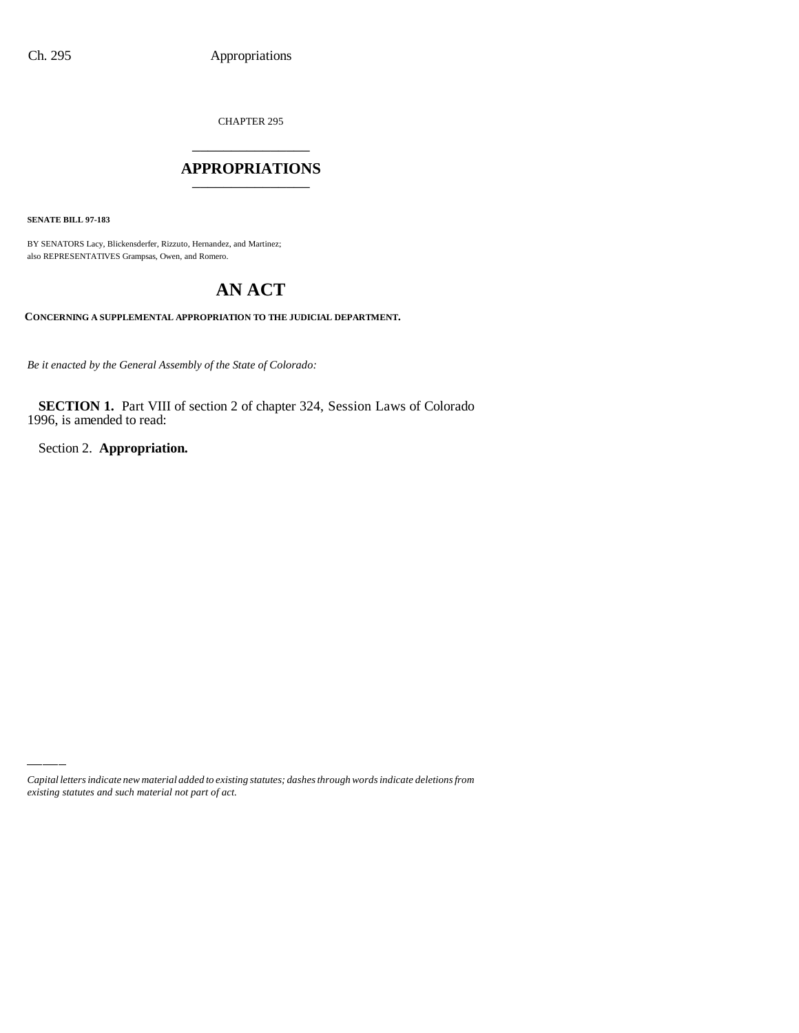CHAPTER 295

### \_\_\_\_\_\_\_\_\_\_\_\_\_\_\_ **APPROPRIATIONS** \_\_\_\_\_\_\_\_\_\_\_\_\_\_\_

**SENATE BILL 97-183**

BY SENATORS Lacy, Blickensderfer, Rizzuto, Hernandez, and Martinez; also REPRESENTATIVES Grampsas, Owen, and Romero.

# **AN ACT**

**CONCERNING A SUPPLEMENTAL APPROPRIATION TO THE JUDICIAL DEPARTMENT.**

*Be it enacted by the General Assembly of the State of Colorado:*

**SECTION 1.** Part VIII of section 2 of chapter 324, Session Laws of Colorado 1996, is amended to read:

Section 2. **Appropriation.**

*Capital letters indicate new material added to existing statutes; dashes through words indicate deletions from existing statutes and such material not part of act.*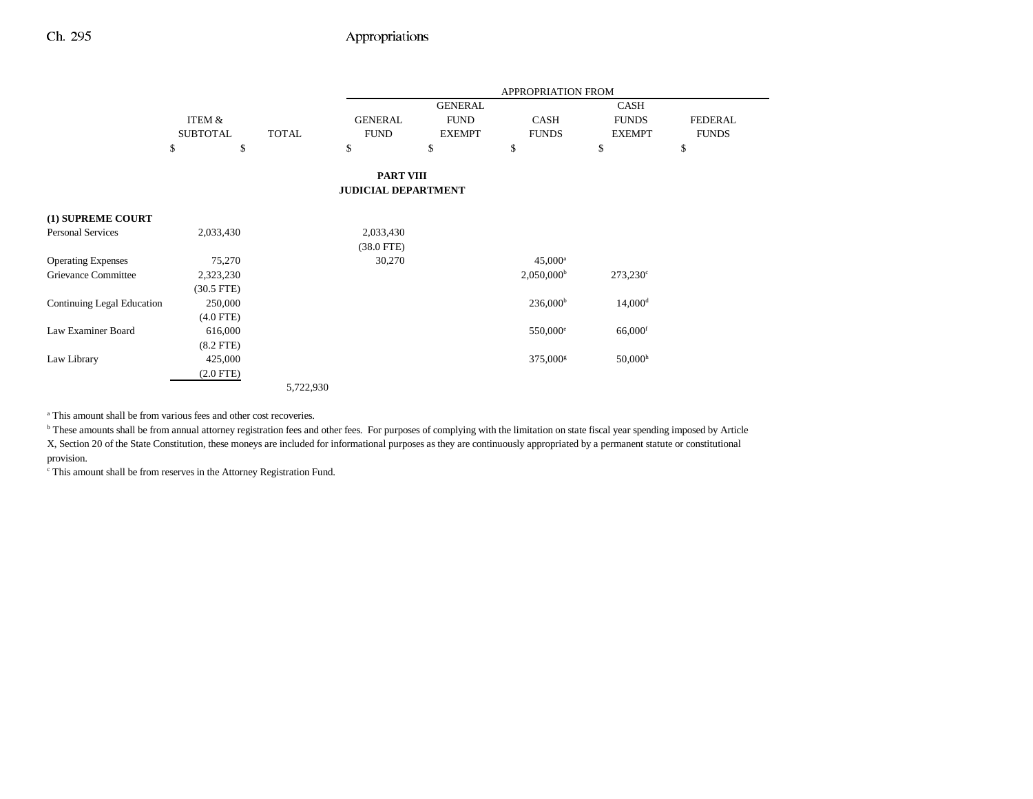|                                   |                 |              |                            |                | APPROPRIATION FROM   |                       |                |
|-----------------------------------|-----------------|--------------|----------------------------|----------------|----------------------|-----------------------|----------------|
|                                   |                 |              |                            | <b>GENERAL</b> |                      | <b>CASH</b>           |                |
|                                   | ITEM &          |              | <b>GENERAL</b>             | <b>FUND</b>    | <b>CASH</b>          | <b>FUNDS</b>          | <b>FEDERAL</b> |
|                                   | <b>SUBTOTAL</b> | <b>TOTAL</b> | <b>FUND</b>                | <b>EXEMPT</b>  | <b>FUNDS</b>         | <b>EXEMPT</b>         | <b>FUNDS</b>   |
|                                   | \$<br>\$        |              | \$                         | \$             | \$                   | \$                    | \$             |
|                                   |                 |              | <b>PART VIII</b>           |                |                      |                       |                |
|                                   |                 |              | <b>JUDICIAL DEPARTMENT</b> |                |                      |                       |                |
| (1) SUPREME COURT                 |                 |              |                            |                |                      |                       |                |
| <b>Personal Services</b>          | 2,033,430       |              | 2,033,430                  |                |                      |                       |                |
|                                   |                 |              | $(38.0$ FTE)               |                |                      |                       |                |
| <b>Operating Expenses</b>         | 75,270          |              | 30,270                     |                | $45,000^{\rm a}$     |                       |                |
| Grievance Committee               | 2,323,230       |              |                            |                | $2,050,000^{\rm b}$  | $273,230^{\circ}$     |                |
|                                   | $(30.5$ FTE)    |              |                            |                |                      |                       |                |
| <b>Continuing Legal Education</b> | 250,000         |              |                            |                | $236,000^{\rm b}$    | $14,000$ <sup>d</sup> |                |
|                                   | $(4.0$ FTE)     |              |                            |                |                      |                       |                |
| Law Examiner Board                | 616,000         |              |                            |                | $550,000^{\circ}$    | $66,000$ <sup>f</sup> |                |
|                                   | $(8.2$ FTE)     |              |                            |                |                      |                       |                |
| Law Library                       | 425,000         |              |                            |                | 375,000 <sup>g</sup> | 50,000 <sup>h</sup>   |                |
|                                   | $(2.0$ FTE)     |              |                            |                |                      |                       |                |
|                                   |                 | 5,722,930    |                            |                |                      |                       |                |

a This amount shall be from various fees and other cost recoveries.

**b** These amounts shall be from annual attorney registration fees and other fees. For purposes of complying with the limitation on state fiscal year spending imposed by Article X, Section 20 of the State Constitution, these moneys are included for informational purposes as they are continuously appropriated by a permanent statute or constitutional provision.

c This amount shall be from reserves in the Attorney Registration Fund.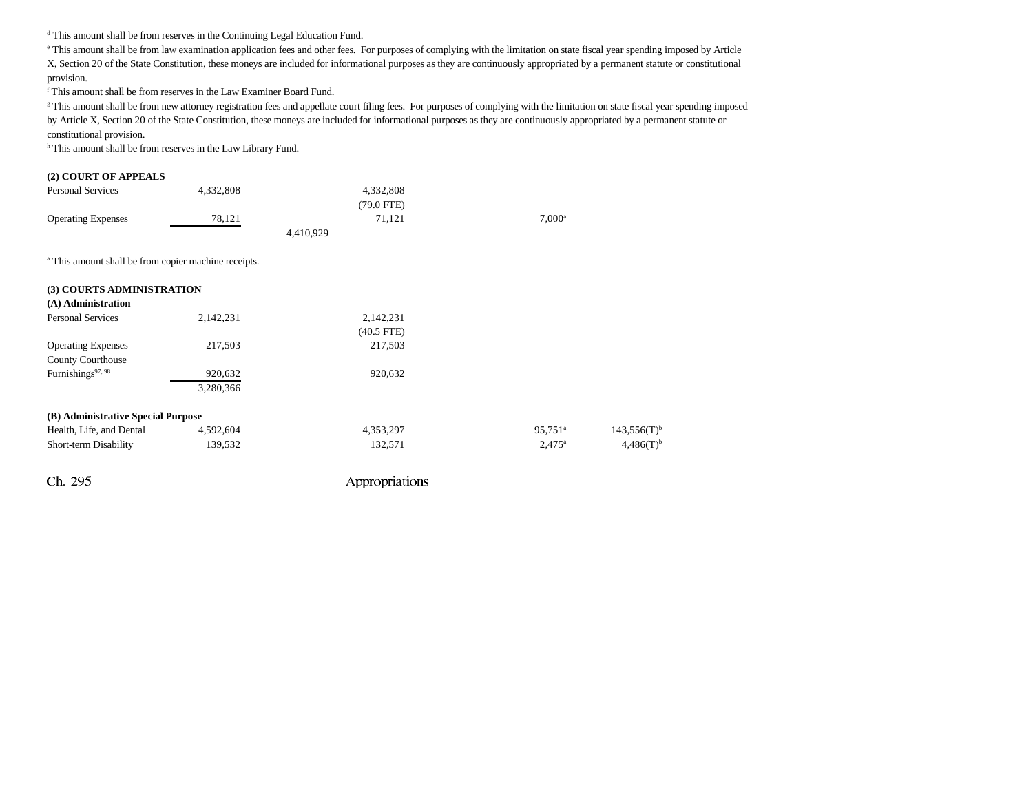d This amount shall be from reserves in the Continuing Legal Education Fund.

e This amount shall be from law examination application fees and other fees. For purposes of complying with the limitation on state fiscal year spending imposed by Article X, Section 20 of the State Constitution, these moneys are included for informational purposes as they are continuously appropriated by a permanent statute or constitutional provision.

f This amount shall be from reserves in the Law Examiner Board Fund.

<sup>g</sup> This amount shall be from new attorney registration fees and appellate court filing fees. For purposes of complying with the limitation on state fiscal year spending imposed by Article X, Section 20 of the State Constitution, these moneys are included for informational purposes as they are continuously appropriated by a permanent statute or

constitutional provision.

h This amount shall be from reserves in the Law Library Fund.

#### **(2) COURT OF APPEALS**

| <b>Personal Services</b>  | 4.332.808 | 4.332.808    |                      |
|---------------------------|-----------|--------------|----------------------|
|                           |           | $(79.0$ FTE) |                      |
| <b>Operating Expenses</b> | 78.121    | 71.121       | $7.000$ <sup>a</sup> |
|                           |           | 4,410,929    |                      |

<sup>a</sup> This amount shall be from copier machine receipts.

| (3) COURTS ADMINISTRATION          |           |              |                       |                           |
|------------------------------------|-----------|--------------|-----------------------|---------------------------|
| (A) Administration                 |           |              |                       |                           |
| <b>Personal Services</b>           | 2,142,231 | 2,142,231    |                       |                           |
|                                    |           | $(40.5$ FTE) |                       |                           |
| <b>Operating Expenses</b>          | 217,503   | 217,503      |                       |                           |
| <b>County Courthouse</b>           |           |              |                       |                           |
| Furnishings <sup>97, 98</sup>      | 920,632   | 920,632      |                       |                           |
|                                    | 3,280,366 |              |                       |                           |
| (B) Administrative Special Purpose |           |              |                       |                           |
| Health, Life, and Dental           | 4,592,604 | 4,353,297    | $95.751$ <sup>a</sup> | $143,556(T)$ <sup>b</sup> |
| Short-term Disability              | 139,532   | 132,571      | $2.475^{\rm a}$       | $4,486(T)^{b}$            |
|                                    |           |              |                       |                           |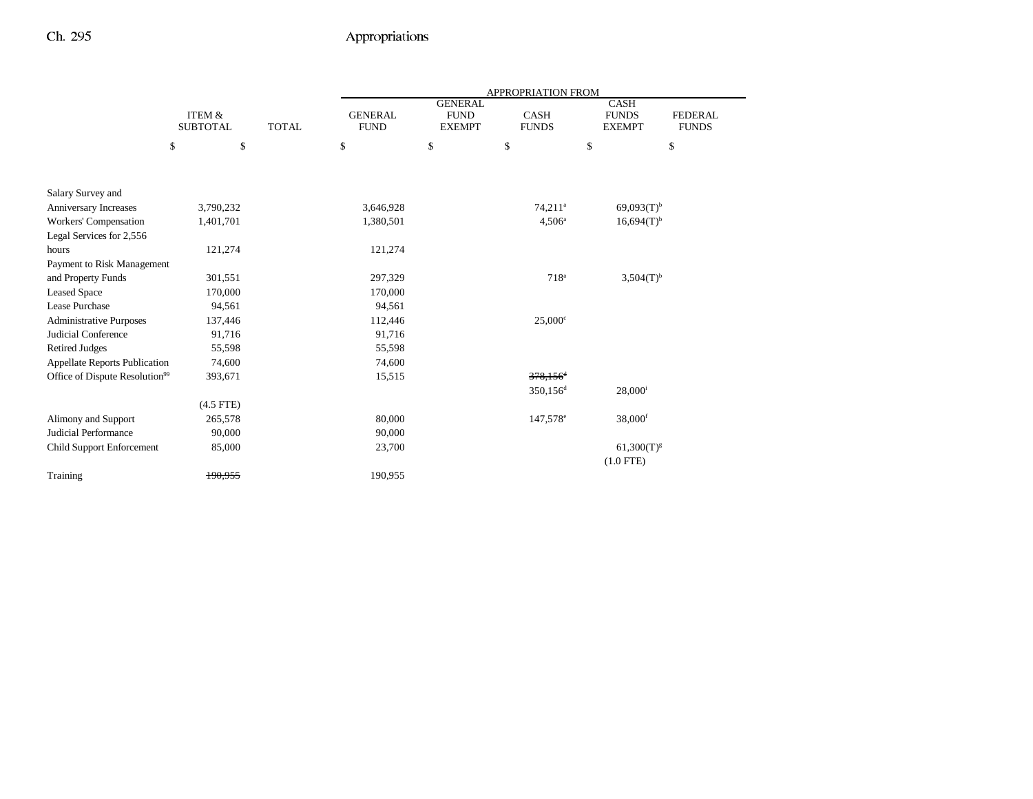|                                            |                                      |              | APPROPRIATION FROM            |                                                |                             |                                              |                                |
|--------------------------------------------|--------------------------------------|--------------|-------------------------------|------------------------------------------------|-----------------------------|----------------------------------------------|--------------------------------|
|                                            | <b>ITEM &amp;</b><br><b>SUBTOTAL</b> | <b>TOTAL</b> | <b>GENERAL</b><br><b>FUND</b> | <b>GENERAL</b><br><b>FUND</b><br><b>EXEMPT</b> | <b>CASH</b><br><b>FUNDS</b> | <b>CASH</b><br><b>FUNDS</b><br><b>EXEMPT</b> | <b>FEDERAL</b><br><b>FUNDS</b> |
|                                            | $\$$<br>\$                           |              | \$                            | \$                                             | \$                          | \$                                           | \$                             |
|                                            |                                      |              |                               |                                                |                             |                                              |                                |
| Salary Survey and                          |                                      |              |                               |                                                |                             |                                              |                                |
| Anniversary Increases                      | 3,790,232                            |              | 3,646,928                     |                                                | 74,211 <sup>a</sup>         | $69,093(T)$ <sup>b</sup>                     |                                |
| Workers' Compensation                      | 1,401,701                            |              | 1,380,501                     |                                                | $4,506^{\circ}$             | $16,694(T)$ <sup>b</sup>                     |                                |
| Legal Services for 2,556                   |                                      |              |                               |                                                |                             |                                              |                                |
| hours                                      | 121,274                              |              | 121,274                       |                                                |                             |                                              |                                |
| Payment to Risk Management                 |                                      |              |                               |                                                |                             |                                              |                                |
| and Property Funds                         | 301,551                              |              | 297,329                       |                                                | 718 <sup>a</sup>            | $3,504(T)^{b}$                               |                                |
| <b>Leased Space</b>                        | 170,000                              |              | 170,000                       |                                                |                             |                                              |                                |
| Lease Purchase                             | 94,561                               |              | 94,561                        |                                                |                             |                                              |                                |
| Administrative Purposes                    | 137,446                              |              | 112,446                       |                                                | $25,000^{\circ}$            |                                              |                                |
| Judicial Conference                        | 91,716                               |              | 91,716                        |                                                |                             |                                              |                                |
| <b>Retired Judges</b>                      | 55,598                               |              | 55,598                        |                                                |                             |                                              |                                |
| <b>Appellate Reports Publication</b>       | 74,600                               |              | 74,600                        |                                                |                             |                                              |                                |
| Office of Dispute Resolution <sup>99</sup> | 393,671                              |              | 15,515                        |                                                | $378,156$ <sup>4</sup>      |                                              |                                |
|                                            |                                      |              |                               |                                                | 350,156 <sup>d</sup>        | $28,000^{\rm i}$                             |                                |
|                                            | $(4.5$ FTE)                          |              |                               |                                                |                             |                                              |                                |
| Alimony and Support                        | 265,578                              |              | 80,000                        |                                                | 147,578 <sup>e</sup>        | 38,000f                                      |                                |
| Judicial Performance                       | 90,000                               |              | 90,000                        |                                                |                             |                                              |                                |
| <b>Child Support Enforcement</b>           | 85,000                               |              | 23,700                        |                                                |                             | $61,300(T)^{g}$                              |                                |
|                                            |                                      |              |                               |                                                |                             | $(1.0$ FTE)                                  |                                |
| Training                                   | 190,955                              |              | 190,955                       |                                                |                             |                                              |                                |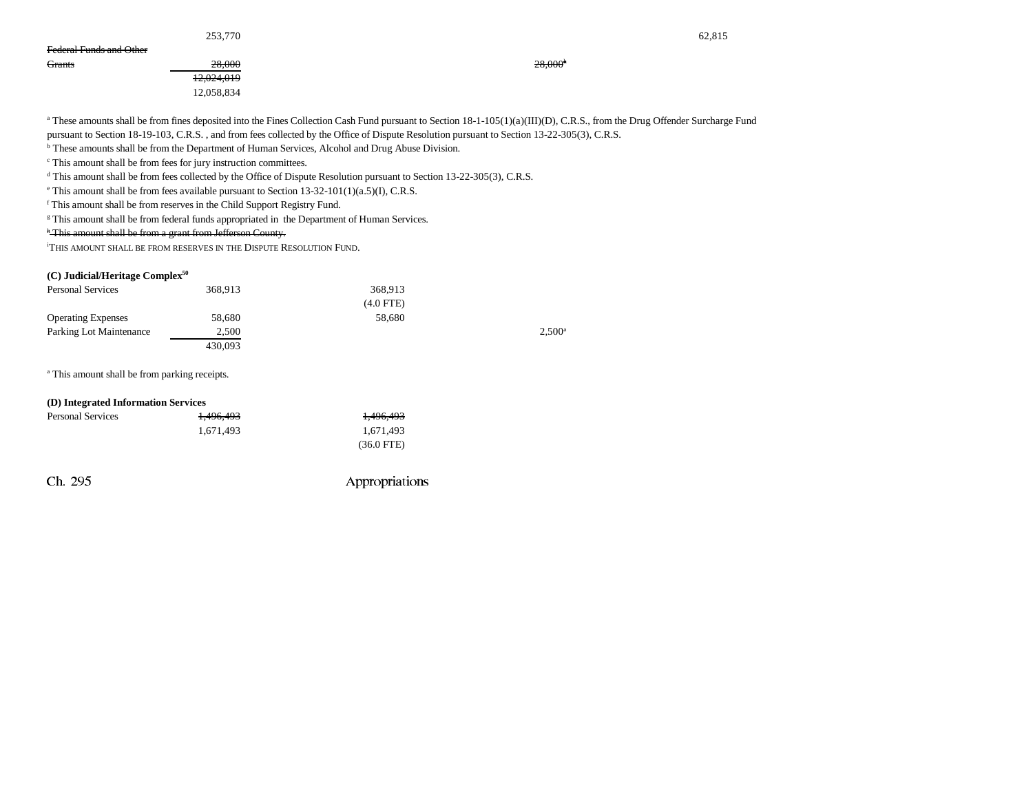|                         | 253,770    |                     | 62,815 |
|-------------------------|------------|---------------------|--------|
| Federal Funds and Other |            |                     |        |
| Grants                  | 28.000     | 28,000 <sup>h</sup> |        |
|                         | 12,024,019 |                     |        |
|                         | 12,058,834 |                     |        |

<sup>a</sup> These amounts shall be from fines deposited into the Fines Collection Cash Fund pursuant to Section 18-1-105(1)(a)(III)(D), C.R.S., from the Drug Offender Surcharge Fund pursuant to Section 18-19-103, C.R.S. , and from fees collected by the Office of Dispute Resolution pursuant to Section 13-22-305(3), C.R.S.

<sup>b</sup> These amounts shall be from the Department of Human Services, Alcohol and Drug Abuse Division.

c This amount shall be from fees for jury instruction committees.

<sup>d</sup> This amount shall be from fees collected by the Office of Dispute Resolution pursuant to Section 13-22-305(3), C.R.S.

 $e$  This amount shall be from fees available pursuant to Section 13-32-101(1)(a.5)(I), C.R.S.

f This amount shall be from reserves in the Child Support Registry Fund.

<sup>g</sup> This amount shall be from federal funds appropriated in the Department of Human Services.

<sup>h</sup> This amount shall be from a grant from Jefferson County.

i THIS AMOUNT SHALL BE FROM RESERVES IN THE DISPUTE RESOLUTION FUND.

#### **(C) Judicial/Heritage Complex50**

| <b>Personal Services</b>  | 368.913 | 368.913     |                 |
|---------------------------|---------|-------------|-----------------|
|                           |         | $(4.0$ FTE) |                 |
| <b>Operating Expenses</b> | 58,680  | 58,680      |                 |
| Parking Lot Maintenance   | 2.500   |             | $2.500^{\circ}$ |
|                           | 430.093 |             |                 |

<sup>a</sup> This amount shall be from parking receipts.

| (D) Integrated Information Services |           |                      |
|-------------------------------------|-----------|----------------------|
| <b>Personal Services</b>            | 1,496,493 | 1,496,493            |
|                                     | 1.671.493 | 1.671.493            |
|                                     |           | $(36.0 \text{ FTE})$ |
|                                     |           |                      |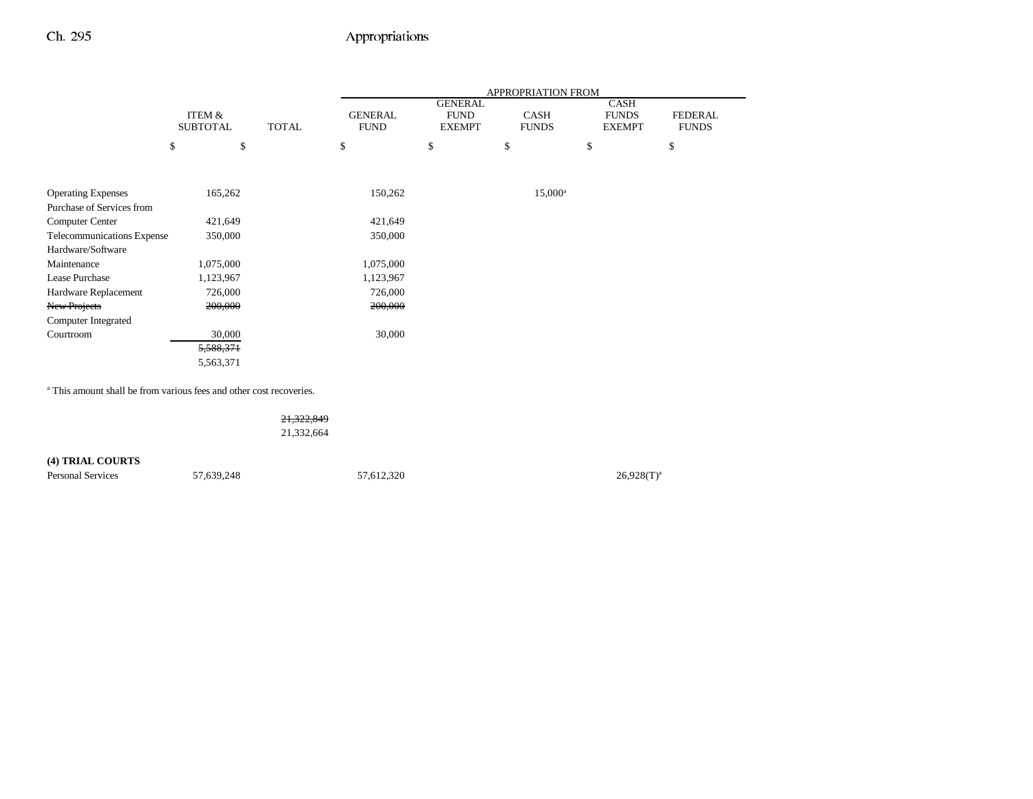|                            |                           |              |                               |                                                | APPROPRIATION FROM          |                                              |                                |
|----------------------------|---------------------------|--------------|-------------------------------|------------------------------------------------|-----------------------------|----------------------------------------------|--------------------------------|
|                            | ITEM &<br><b>SUBTOTAL</b> | <b>TOTAL</b> | <b>GENERAL</b><br><b>FUND</b> | <b>GENERAL</b><br><b>FUND</b><br><b>EXEMPT</b> | <b>CASH</b><br><b>FUNDS</b> | <b>CASH</b><br><b>FUNDS</b><br><b>EXEMPT</b> | <b>FEDERAL</b><br><b>FUNDS</b> |
|                            | \$<br>\$                  |              | \$                            | \$                                             | \$                          | \$                                           | \$                             |
|                            |                           |              |                               |                                                |                             |                                              |                                |
|                            |                           |              |                               |                                                |                             |                                              |                                |
| <b>Operating Expenses</b>  | 165,262                   |              | 150,262                       |                                                | $15,000^{\rm a}$            |                                              |                                |
| Purchase of Services from  |                           |              |                               |                                                |                             |                                              |                                |
| <b>Computer Center</b>     | 421,649                   |              | 421,649                       |                                                |                             |                                              |                                |
| Telecommunications Expense | 350,000                   |              | 350,000                       |                                                |                             |                                              |                                |
| Hardware/Software          |                           |              |                               |                                                |                             |                                              |                                |
| Maintenance                | 1,075,000                 |              | 1,075,000                     |                                                |                             |                                              |                                |
| Lease Purchase             | 1,123,967                 |              | 1,123,967                     |                                                |                             |                                              |                                |
| Hardware Replacement       | 726,000                   |              | 726,000                       |                                                |                             |                                              |                                |
| <b>New Projects</b>        | 200,000                   |              | 200,000                       |                                                |                             |                                              |                                |
| Computer Integrated        |                           |              |                               |                                                |                             |                                              |                                |
| Courtroom                  | 30,000                    |              | 30,000                        |                                                |                             |                                              |                                |
|                            | 5,588,371                 |              |                               |                                                |                             |                                              |                                |
|                            | 5,563,371                 |              |                               |                                                |                             |                                              |                                |

a This amount shall be from various fees and other cost recoveries.

21,322,849 21,332,664 **(4) TRIAL COURTS** Personal Services 57,639,248 57,612,320 57,612,320 26,928(T)<sup>a</sup>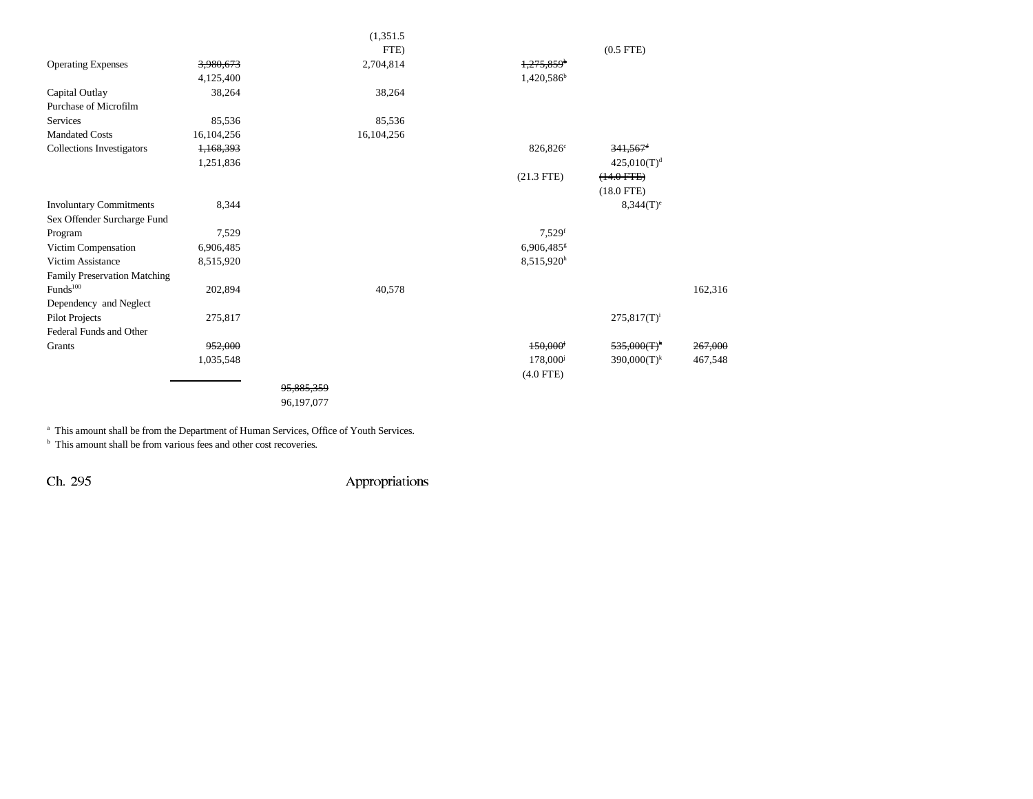| (1,351.5)                                           |                          |                         |         |
|-----------------------------------------------------|--------------------------|-------------------------|---------|
| FTE)                                                |                          | $(0.5$ FTE $)$          |         |
| 2,704,814<br><b>Operating Expenses</b><br>3,980,673 | $1,275,859$ <sup>b</sup> |                         |         |
| 4,125,400                                           | 1,420,586 <sup>b</sup>   |                         |         |
| Capital Outlay<br>38,264<br>38,264                  |                          |                         |         |
| Purchase of Microfilm                               |                          |                         |         |
| <b>Services</b><br>85,536<br>85,536                 |                          |                         |         |
| <b>Mandated Costs</b><br>16,104,256<br>16,104,256   |                          |                         |         |
| <b>Collections Investigators</b><br>1,168,393       | 826,826 <sup>c</sup>     | $341,567$ <sup>d</sup>  |         |
| 1,251,836                                           |                          | 425,010(T) <sup>d</sup> |         |
|                                                     | $(21.3$ FTE)             | $(14.0$ FTE $)$         |         |
|                                                     |                          | $(18.0$ FTE)            |         |
| <b>Involuntary Commitments</b><br>8,344             |                          | $8,344(T)^e$            |         |
| Sex Offender Surcharge Fund                         |                          |                         |         |
| 7,529<br>Program                                    | $7,529$ <sup>f</sup>     |                         |         |
| Victim Compensation<br>6,906,485                    | 6,906,485 <sup>g</sup>   |                         |         |
| Victim Assistance<br>8,515,920                      | 8,515,920h               |                         |         |
| Family Preservation Matching                        |                          |                         |         |
| $\rm{Funds}^{100}$<br>202,894<br>40,578             |                          |                         | 162,316 |
| Dependency and Neglect                              |                          |                         |         |
| Pilot Projects<br>275,817                           |                          | $275,817(T)^{i}$        |         |
| Federal Funds and Other                             |                          |                         |         |
| 952.000<br>Grants                                   | 150,000                  | $535,000(T)^k$          | 267,000 |
| 1,035,548                                           | 178,000 <sup>j</sup>     | $390,000(T)^k$          | 467,548 |
|                                                     | $(4.0$ FTE)              |                         |         |
| 95,885,359                                          |                          |                         |         |
| 96,197,077                                          |                          |                         |         |

a This amount shall be from the Department of Human Services, Office of Youth Services.

<sup>b</sup> This amount shall be from various fees and other cost recoveries.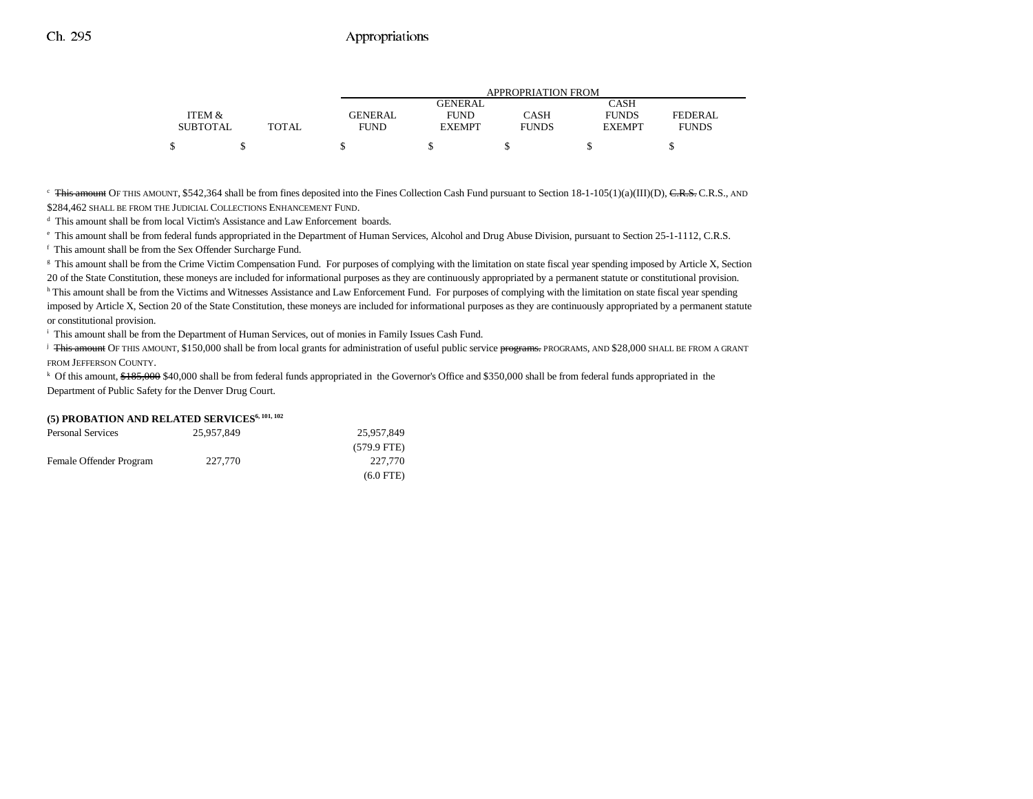|                 |       | APPROPRIATION FROM |                |              |               |                |
|-----------------|-------|--------------------|----------------|--------------|---------------|----------------|
|                 |       |                    | <b>GENERAL</b> |              | CASH          |                |
| ITEM &          |       | GENERAL            | <b>FUND</b>    | CASH         | <b>FUNDS</b>  | <b>FEDERAL</b> |
| <b>SUBTOTAL</b> | TOTAL | FUND               | <b>EXEMPT</b>  | <b>FUNDS</b> | <b>EXEMPT</b> | <b>FUNDS</b>   |
| \$              |       |                    |                |              |               |                |

<sup>c</sup> This amount OF THIS AMOUNT, \$542,364 shall be from fines deposited into the Fines Collection Cash Fund pursuant to Section 18-1-105(1)(a)(III)(D), CR.S., CR.S., AND \$284,462 SHALL BE FROM THE JUDICIAL COLLECTIONS ENHANCEMENT FUND.

d This amount shall be from local Victim's Assistance and Law Enforcement boards.

e This amount shall be from federal funds appropriated in the Department of Human Services, Alcohol and Drug Abuse Division, pursuant to Section 25-1-1112, C.R.S. f This amount shall be from the Sex Offender Surcharge Fund.

<sup>g</sup> This amount shall be from the Crime Victim Compensation Fund. For purposes of complying with the limitation on state fiscal year spending imposed by Article X, Section

20 of the State Constitution, these moneys are included for informational purposes as they are continuously appropriated by a permanent statute or constitutional provision. h This amount shall be from the Victims and Witnesses Assistance and Law Enforcement Fund. For purposes of complying with the limitation on state fiscal year spending imposed by Article X, Section 20 of the State Constitution, these moneys are included for informational purposes as they are continuously appropriated by a permanent statute or constitutional provision.

<sup>i</sup> This amount shall be from the Department of Human Services, out of monies in Family Issues Cash Fund.

<sup>j</sup> This amount OF THIS AMOUNT, \$150,000 shall be from local grants for administration of useful public service programs. PROGRAMS, AND \$28,000 SHALL BE FROM A GRANT FROM JEFFERSON COUNTY.

<sup>k</sup> Of this amount, \$185,000 \$40,000 shall be from federal funds appropriated in the Governor's Office and \$350,000 shall be from federal funds appropriated in the Department of Public Safety for the Denver Drug Court.

#### **(5) PROBATION AND RELATED SERVICES6, 101, 102**

| <b>Personal Services</b> | 25,957,849 | 25.957.849            |
|--------------------------|------------|-----------------------|
|                          |            | $(579.9 \text{ FTE})$ |
| Female Offender Program  | 227,770    | 227,770               |
|                          |            | $(6.0$ FTE)           |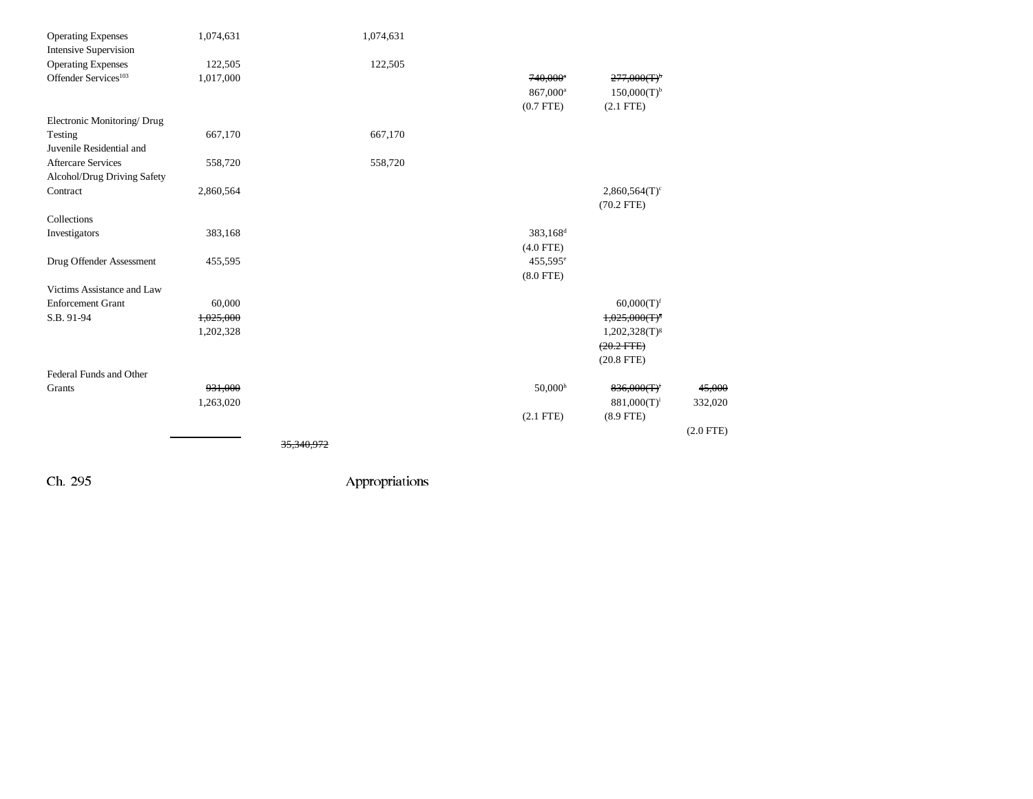| <b>Operating Expenses</b>        | 1,074,631 | 1,074,631             |                      |                             |             |
|----------------------------------|-----------|-----------------------|----------------------|-----------------------------|-------------|
| <b>Intensive Supervision</b>     |           |                       |                      |                             |             |
| <b>Operating Expenses</b>        | 122,505   | 122,505               |                      |                             |             |
| Offender Services <sup>103</sup> | 1,017,000 |                       | 740,000*             | 277,000(T)                  |             |
|                                  |           |                       | 867,000 <sup>a</sup> | $150,000(T)^{b}$            |             |
|                                  |           |                       | $(0.7$ FTE)          | $(2.1$ FTE)                 |             |
| Electronic Monitoring/Drug       |           |                       |                      |                             |             |
| Testing                          | 667,170   | 667,170               |                      |                             |             |
| Juvenile Residential and         |           |                       |                      |                             |             |
| <b>Aftercare Services</b>        | 558,720   | 558,720               |                      |                             |             |
| Alcohol/Drug Driving Safety      |           |                       |                      |                             |             |
| Contract                         | 2,860,564 |                       |                      | $2,860,564(T)$ <sup>c</sup> |             |
|                                  |           |                       |                      | $(70.2$ FTE)                |             |
| Collections                      |           |                       |                      |                             |             |
| Investigators                    | 383,168   |                       | 383,168 <sup>d</sup> |                             |             |
|                                  |           |                       | $(4.0$ FTE)          |                             |             |
| Drug Offender Assessment         | 455,595   |                       | 455,595 <sup>e</sup> |                             |             |
|                                  |           |                       | $(8.0$ FTE)          |                             |             |
| Victims Assistance and Law       |           |                       |                      |                             |             |
| <b>Enforcement Grant</b>         | 60,000    |                       |                      | $60,000(T)$ <sup>f</sup>    |             |
| S.B. 91-94                       | 1,025,000 |                       |                      | $1,025,000(T)^8$            |             |
|                                  | 1,202,328 |                       |                      | $1,202,328(T)^{g}$          |             |
|                                  |           |                       |                      | $(20.2$ FTE)                |             |
|                                  |           |                       |                      | $(20.8$ FTE)                |             |
| Federal Funds and Other          |           |                       |                      |                             |             |
| Grants                           | 931,000   |                       | 50,000 <sup>h</sup>  | 836,000(T)                  | 45,000      |
|                                  | 1,263,020 |                       |                      | $881,000(T)^i$              | 332,020     |
|                                  |           |                       | $(2.1$ FTE)          | $(8.9$ FTE)                 |             |
|                                  |           |                       |                      |                             | $(2.0$ FTE) |
|                                  |           |                       |                      |                             |             |
|                                  |           | <del>35.340.972</del> |                      |                             |             |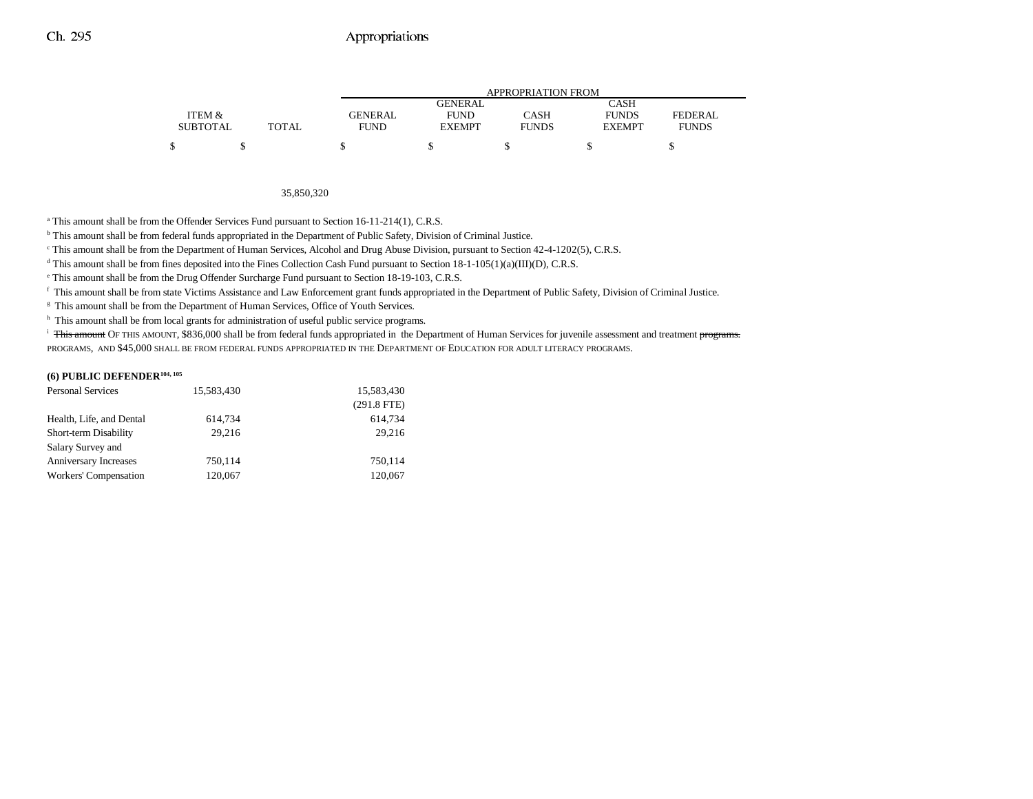|                 |              |         | APPROPRIATION FROM |              |               |              |  |
|-----------------|--------------|---------|--------------------|--------------|---------------|--------------|--|
|                 |              |         | GENERAL            |              | CASH          |              |  |
| ITEM &          |              | GENERAL | <b>FUND</b>        | CASH         | <b>FUNDS</b>  | FEDERAL      |  |
| <b>SUBTOTAL</b> | <b>TOTAL</b> | FUND    | <b>EXEMPT</b>      | <b>FUNDS</b> | <b>EXEMPT</b> | <b>FUNDS</b> |  |
|                 |              |         |                    |              |               |              |  |

#### 35,850,320

<sup>a</sup> This amount shall be from the Offender Services Fund pursuant to Section 16-11-214(1), C.R.S.

b This amount shall be from federal funds appropriated in the Department of Public Safety, Division of Criminal Justice.

c This amount shall be from the Department of Human Services, Alcohol and Drug Abuse Division, pursuant to Section 42-4-1202(5), C.R.S.

<sup>d</sup> This amount shall be from fines deposited into the Fines Collection Cash Fund pursuant to Section  $18-1-105(1)(a)(III)(D)$ , C.R.S.

e This amount shall be from the Drug Offender Surcharge Fund pursuant to Section 18-19-103, C.R.S.

f This amount shall be from state Victims Assistance and Law Enforcement grant funds appropriated in the Department of Public Safety, Division of Criminal Justice.

<sup>g</sup> This amount shall be from the Department of Human Services, Office of Youth Services.

<sup>h</sup> This amount shall be from local grants for administration of useful public service programs.

<sup>i</sup> This amount OF THIS AMOUNT, \$836,000 shall be from federal funds appropriated in the Department of Human Services for juvenile assessment and treatment programs. PROGRAMS, AND \$45,000 SHALL BE FROM FEDERAL FUNDS APPROPRIATED IN THE DEPARTMENT OF EDUCATION FOR ADULT LITERACY PROGRAMS.

### **(6) PUBLIC DEFENDER104, 105**

| <b>Personal Services</b> | 15,583,430 | 15,583,430    |
|--------------------------|------------|---------------|
|                          |            | $(291.8$ FTE) |
| Health, Life, and Dental | 614,734    | 614.734       |
| Short-term Disability    | 29.216     | 29,216        |
| Salary Survey and        |            |               |
| Anniversary Increases    | 750,114    | 750,114       |
| Workers' Compensation    | 120,067    | 120,067       |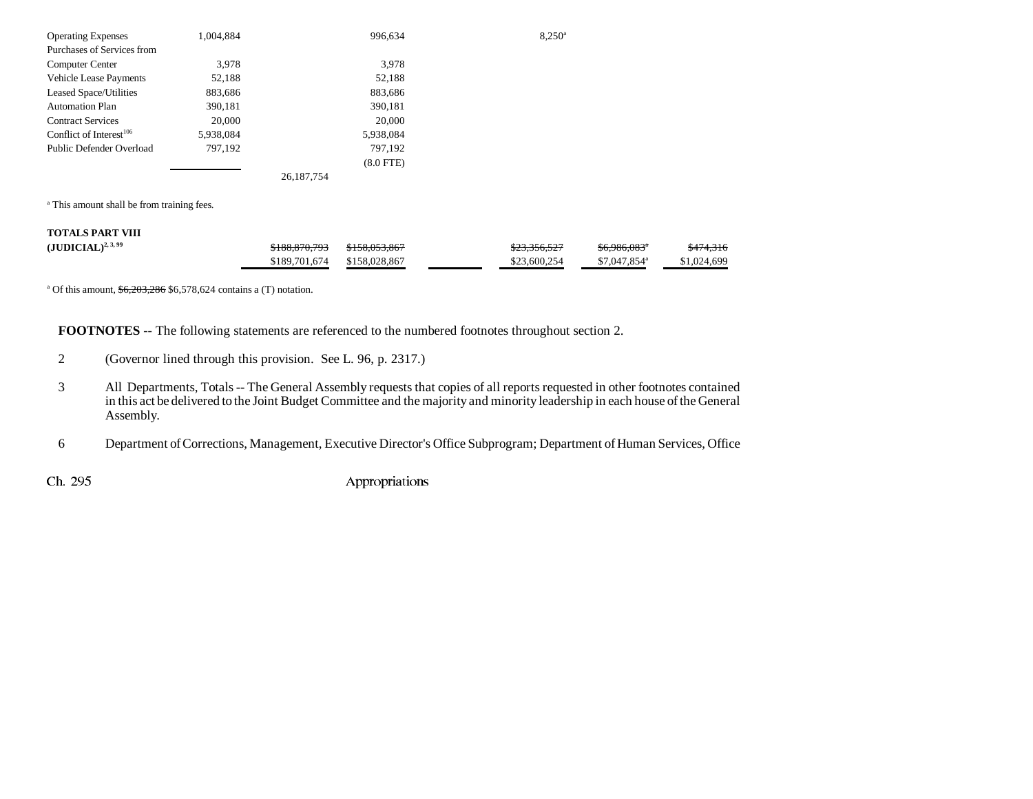| <b>Operating Expenses</b>     | 1,004,884 | 996.634        | $8.250^{\circ}$ |
|-------------------------------|-----------|----------------|-----------------|
| Purchases of Services from    |           |                |                 |
| Computer Center               | 3,978     | 3,978          |                 |
| Vehicle Lease Payments        | 52,188    | 52,188         |                 |
| <b>Leased Space/Utilities</b> | 883,686   | 883,686        |                 |
| <b>Automation Plan</b>        | 390,181   | 390,181        |                 |
| <b>Contract Services</b>      | 20,000    | 20,000         |                 |
| Conflict of Interest $106$    | 5,938,084 | 5,938,084      |                 |
| Public Defender Overload      | 797,192   | 797,192        |                 |
|                               |           | $(8.0$ FTE $)$ |                 |
|                               |           | 26.187.754     |                 |

<sup>a</sup> This amount shall be from training fees.

| <b>TOTALS PART VIII</b> |               |               |              |                           |                      |
|-------------------------|---------------|---------------|--------------|---------------------------|----------------------|
| $(JUDICIAL)^{2,3,99}$   | \$188,870,793 | \$158,053,867 | \$23,356,527 | <del>\$6.986.083</del> ª  | <del>\$474,316</del> |
|                         | \$189,701,674 | \$158,028,867 | \$23,600,254 | $$7.047.854$ <sup>a</sup> | \$1,024,699          |

<sup>a</sup> Of this amount,  $\frac{6,203,286}{6,578,624}$  contains a (T) notation.

**FOOTNOTES** -- The following statements are referenced to the numbered footnotes throughout section 2.

- 2 (Governor lined through this provision. See L. 96, p. 2317.)
- 3 All Departments, Totals -- The General Assembly requests that copies of all reports requested in other footnotes contained in this act be delivered to the Joint Budget Committee and the majority and minority leadership in each house of the General Assembly.
- 6 Department of Corrections, Management, Executive Director's Office Subprogram; Department of Human Services, Office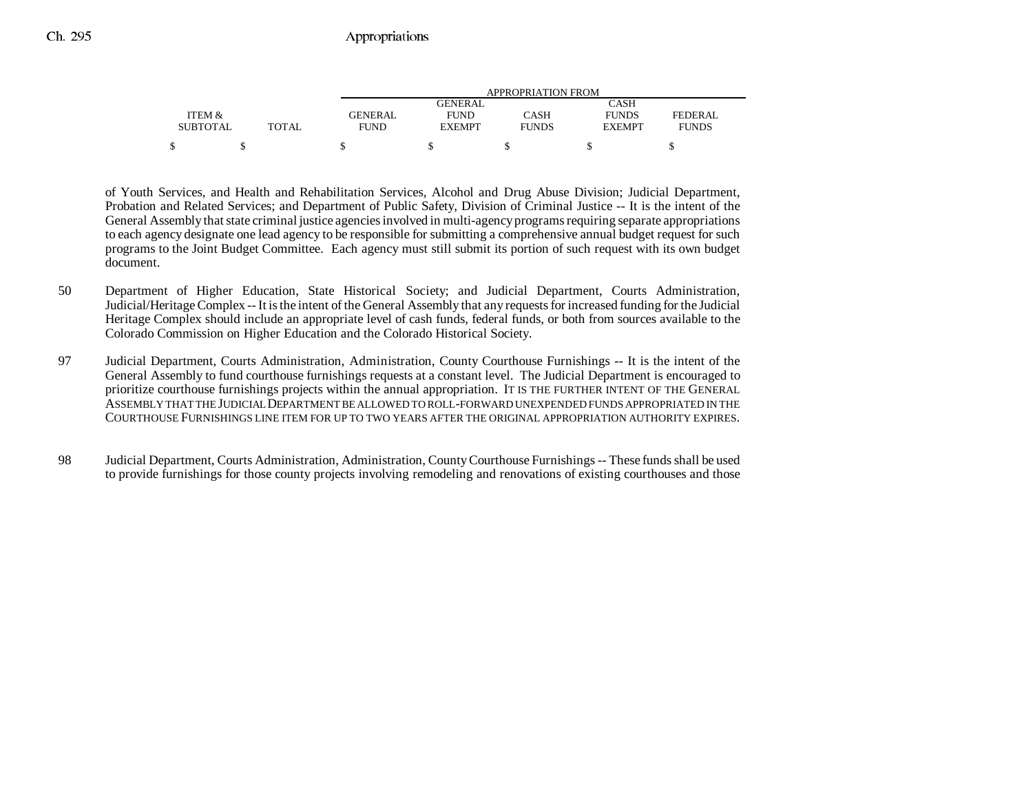|                 |              |             | APPROPRIATION FROM |              |               |              |  |
|-----------------|--------------|-------------|--------------------|--------------|---------------|--------------|--|
|                 |              |             | <b>GENERAL</b>     |              | CASH          |              |  |
| ITEM &          |              | GENERAL     | <b>FUND</b>        | CASH         | <b>FUNDS</b>  | FEDERAL      |  |
| <b>SUBTOTAL</b> | <b>TOTAL</b> | <b>FUND</b> | <b>EXEMPT</b>      | <b>FUNDS</b> | <b>EXEMPT</b> | <b>FUNDS</b> |  |
|                 |              |             |                    |              |               |              |  |

of Youth Services, and Health and Rehabilitation Services, Alcohol and Drug Abuse Division; Judicial Department, Probation and Related Services; and Department of Public Safety, Division of Criminal Justice -- It is the intent of the General Assembly that state criminal justice agencies involved in multi-agency programs requiring separate appropriations to each agency designate one lead agency to be responsible for submitting a comprehensive annual budget request for such programs to the Joint Budget Committee. Each agency must still submit its portion of such request with its own budget document.

- 50 Department of Higher Education, State Historical Society; and Judicial Department, Courts Administration, Judicial/Heritage Complex -- It is the intent of the General Assembly that any requests for increased funding for the Judicial Heritage Complex should include an appropriate level of cash funds, federal funds, or both from sources available to the Colorado Commission on Higher Education and the Colorado Historical Society.
- 97 Judicial Department, Courts Administration, Administration, County Courthouse Furnishings -- It is the intent of the General Assembly to fund courthouse furnishings requests at a constant level. The Judicial Department is encouraged to prioritize courthouse furnishings projects within the annual appropriation. IT IS THE FURTHER INTENT OF THE GENERAL ASSEMBLY THAT THE JUDICIAL DEPARTMENT BE ALLOWED TO ROLL-FORWARD UNEXPENDED FUNDS APPROPRIATED IN THE COURTHOUSE FURNISHINGS LINE ITEM FOR UP TO TWO YEARS AFTER THE ORIGINAL APPROPRIATION AUTHORITY EXPIRES.
- 98 Judicial Department, Courts Administration, Administration, County Courthouse Furnishings -- These funds shall be used to provide furnishings for those county projects involving remodeling and renovations of existing courthouses and those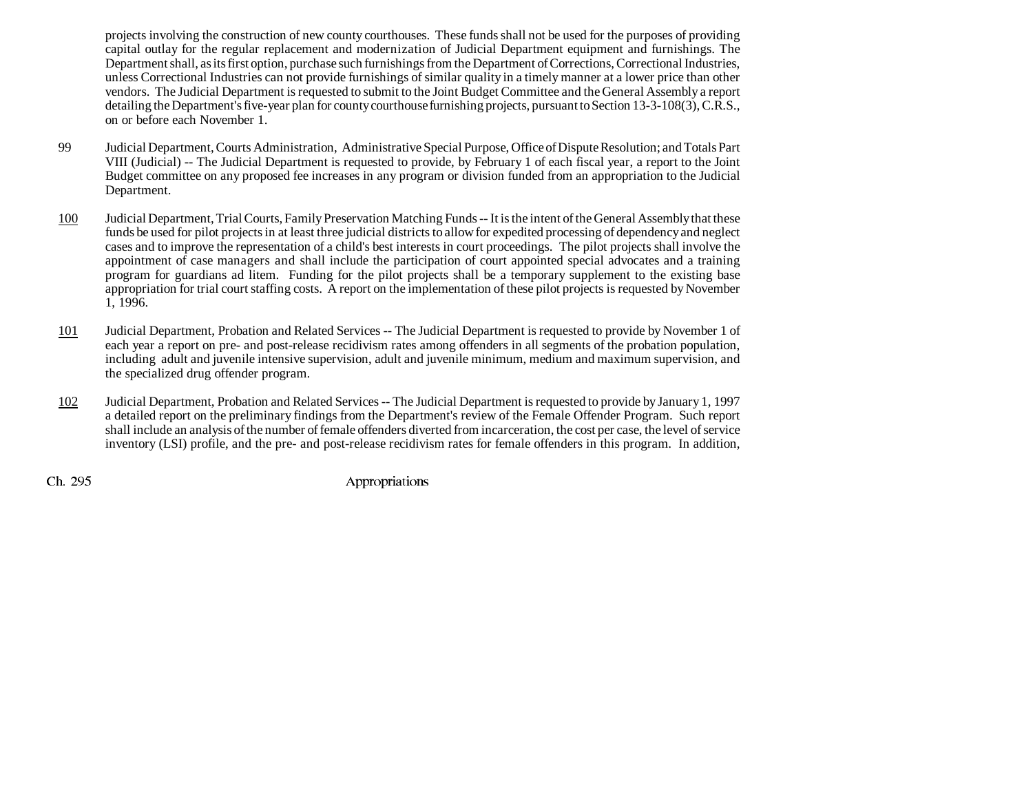projects involving the construction of new county courthouses. These funds shall not be used for the purposes of providing capital outlay for the regular replacement and modernization of Judicial Department equipment and furnishings. The Department shall, as its first option, purchase such furnishings from the Department of Corrections, Correctional Industries, unless Correctional Industries can not provide furnishings of similar quality in a timely manner at a lower price than other vendors. The Judicial Department is requested to submit to the Joint Budget Committee and the General Assembly a report detailing the Department's five-year plan for county courthouse furnishing projects, pursuant to Section 13-3-108(3), C.R.S., on or before each November 1.

- 99 Judicial Department, Courts Administration, Administrative Special Purpose, Office of Dispute Resolution; and Totals Part VIII (Judicial) -- The Judicial Department is requested to provide, by February 1 of each fiscal year, a report to the Joint Budget committee on any proposed fee increases in any program or division funded from an appropriation to the Judicial Department.
- 100 Judicial Department, Trial Courts, Family Preservation Matching Funds -- It is the intent of the General Assembly that these funds be used for pilot projects in at least three judicial districts to allow for expedited processing of dependency and neglect cases and to improve the representation of a child's best interests in court proceedings. The pilot projects shall involve the appointment of case managers and shall include the participation of court appointed special advocates and a training program for guardians ad litem. Funding for the pilot projects shall be a temporary supplement to the existing base appropriation for trial court staffing costs. A report on the implementation of these pilot projects is requested by November 1, 1996.
- 101 Judicial Department, Probation and Related Services -- The Judicial Department is requested to provide by November 1 of each year a report on pre- and post-release recidivism rates among offenders in all segments of the probation population, including adult and juvenile intensive supervision, adult and juvenile minimum, medium and maximum supervision, and the specialized drug offender program.
- 102 Judicial Department, Probation and Related Services -- The Judicial Department is requested to provide by January 1, 1997 a detailed report on the preliminary findings from the Department's review of the Female Offender Program. Such report shall include an analysis of the number of female offenders diverted from incarceration, the cost per case, the level of service inventory (LSI) profile, and the pre- and post-release recidivism rates for female offenders in this program. In addition,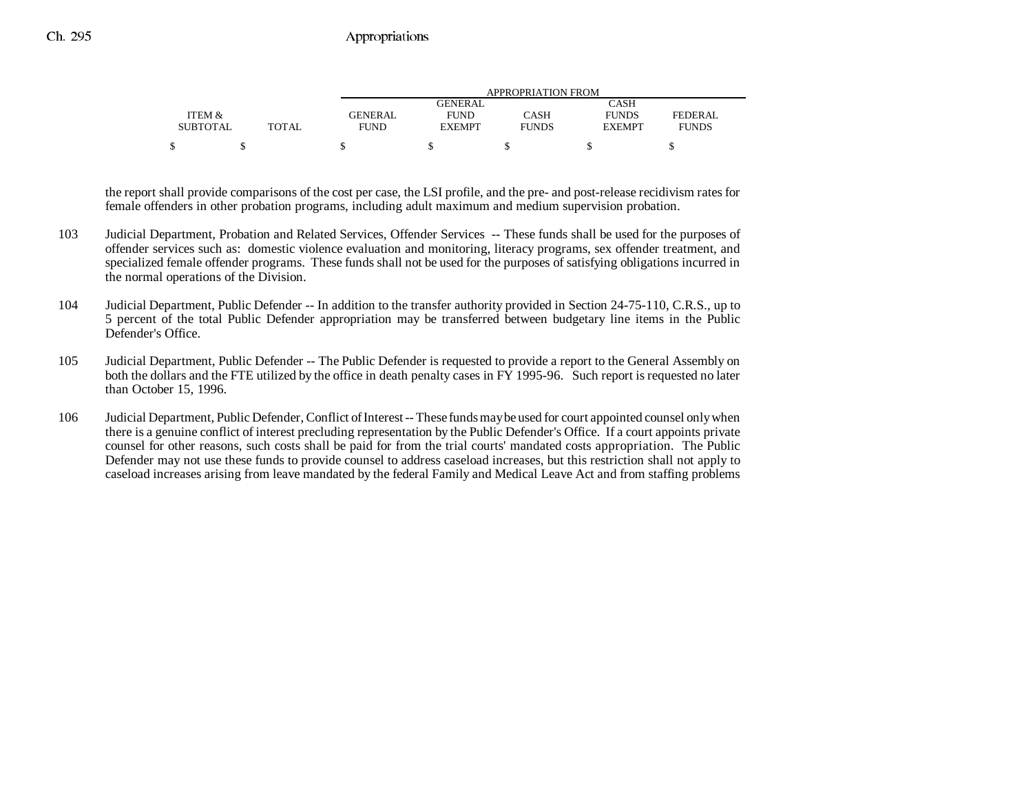|                 |       | APPROPRIATION FROM |                |              |               |              |
|-----------------|-------|--------------------|----------------|--------------|---------------|--------------|
|                 |       |                    | <b>GENERAL</b> |              | CASH          |              |
| ITEM &          |       | <b>GENERAL</b>     | <b>FUND</b>    | CASH         | <b>FUNDS</b>  | FEDERAL      |
| <b>SUBTOTAL</b> | TOTAL | <b>FUND</b>        | <b>EXEMPT</b>  | <b>FUNDS</b> | <b>EXEMPT</b> | <b>FUNDS</b> |
|                 |       |                    |                |              |               |              |

the report shall provide comparisons of the cost per case, the LSI profile, and the pre- and post-release recidivism rates for female offenders in other probation programs, including adult maximum and medium supervision probation.

- 103 Judicial Department, Probation and Related Services, Offender Services -- These funds shall be used for the purposes of offender services such as: domestic violence evaluation and monitoring, literacy programs, sex offender treatment, and specialized female offender programs. These funds shall not be used for the purposes of satisfying obligations incurred in the normal operations of the Division.
- 104 Judicial Department, Public Defender -- In addition to the transfer authority provided in Section 24-75-110, C.R.S., up to 5 percent of the total Public Defender appropriation may be transferred between budgetary line items in the Public Defender's Office.
- 105 Judicial Department, Public Defender -- The Public Defender is requested to provide a report to the General Assembly on both the dollars and the FTE utilized by the office in death penalty cases in FY 1995-96. Such report is requested no later than October 15, 1996.
- 106 Judicial Department, Public Defender, Conflict of Interest -- These funds may be used for court appointed counsel only when there is a genuine conflict of interest precluding representation by the Public Defender's Office. If a court appoints private counsel for other reasons, such costs shall be paid for from the trial courts' mandated costs appropriation. The Public Defender may not use these funds to provide counsel to address caseload increases, but this restriction shall not apply to caseload increases arising from leave mandated by the federal Family and Medical Leave Act and from staffing problems